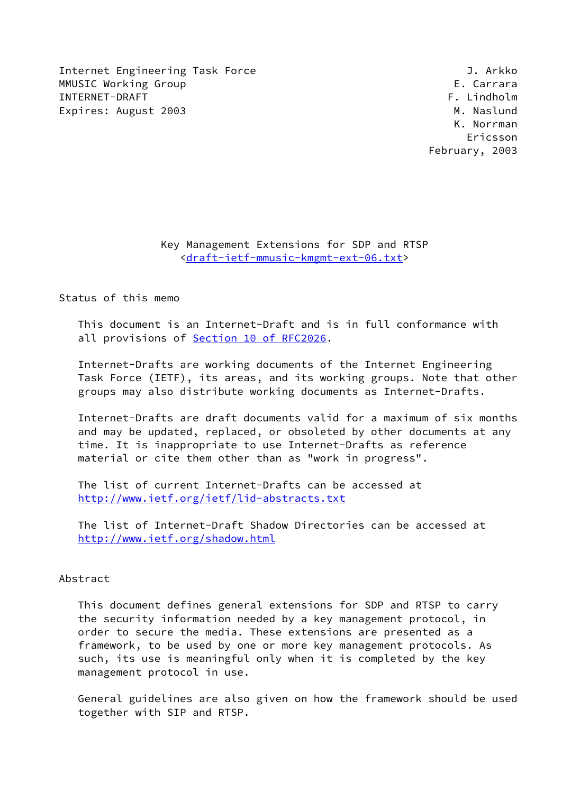Internet Engineering Task Force and Communication of the U.S. Arkko MMUSIC Working Group **E. Carrara** INTERNET-DRAFT FRAME THE STATE OF THE SERIES OF THE STATE OF THE STATE OF THE STATE OF THE STATE OF THE STATE O Expires: August 2003 M. Naslund

 K. Norrman Ericsson February, 2003

> Key Management Extensions for SDP and RTSP [<draft-ietf-mmusic-kmgmt-ext-06.txt>](https://datatracker.ietf.org/doc/pdf/draft-ietf-mmusic-kmgmt-ext-06.txt)

Status of this memo

 This document is an Internet-Draft and is in full conformance with all provisions of Section [10 of RFC2026.](https://datatracker.ietf.org/doc/pdf/rfc2026#section-10)

 Internet-Drafts are working documents of the Internet Engineering Task Force (IETF), its areas, and its working groups. Note that other groups may also distribute working documents as Internet-Drafts.

 Internet-Drafts are draft documents valid for a maximum of six months and may be updated, replaced, or obsoleted by other documents at any time. It is inappropriate to use Internet-Drafts as reference material or cite them other than as "work in progress".

 The list of current Internet-Drafts can be accessed at <http://www.ietf.org/ietf/lid-abstracts.txt>

 The list of Internet-Draft Shadow Directories can be accessed at <http://www.ietf.org/shadow.html>

## Abstract

 This document defines general extensions for SDP and RTSP to carry the security information needed by a key management protocol, in order to secure the media. These extensions are presented as a framework, to be used by one or more key management protocols. As such, its use is meaningful only when it is completed by the key management protocol in use.

 General guidelines are also given on how the framework should be used together with SIP and RTSP.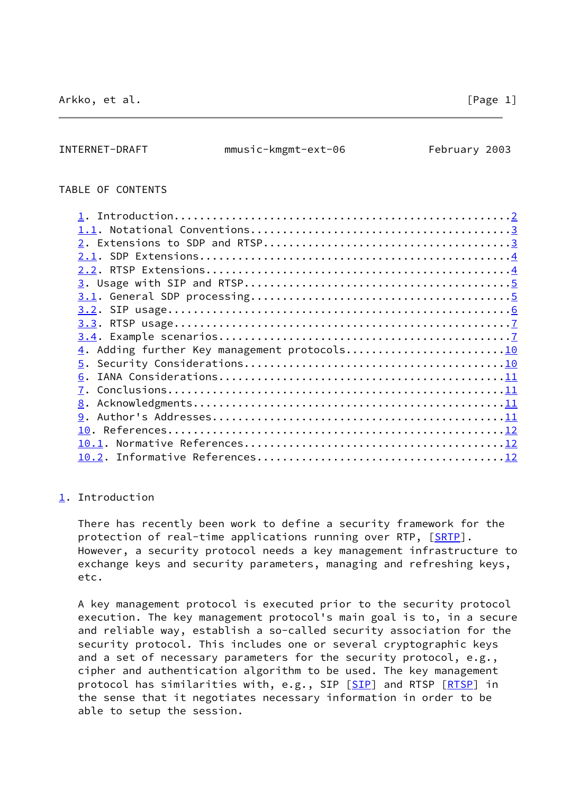# <span id="page-1-1"></span>TABLE OF CONTENTS

| 4. Adding further Key management protocols10 |  |
|----------------------------------------------|--|
|                                              |  |
| 6.                                           |  |
|                                              |  |
|                                              |  |
|                                              |  |
|                                              |  |
|                                              |  |
|                                              |  |
|                                              |  |

#### <span id="page-1-0"></span>[1](#page-1-0). Introduction

 There has recently been work to define a security framework for the protection of real-time applications running over RTP, [\[SRTP](#page-14-0)]. However, a security protocol needs a key management infrastructure to exchange keys and security parameters, managing and refreshing keys, etc.

 A key management protocol is executed prior to the security protocol execution. The key management protocol's main goal is to, in a secure and reliable way, establish a so-called security association for the security protocol. This includes one or several cryptographic keys and a set of necessary parameters for the security protocol, e.g., cipher and authentication algorithm to be used. The key management protocol has similarities with, e.g., [SIP](#page-13-4) [SIP] and RTSP [\[RTSP](#page-13-5)] in the sense that it negotiates necessary information in order to be able to setup the session.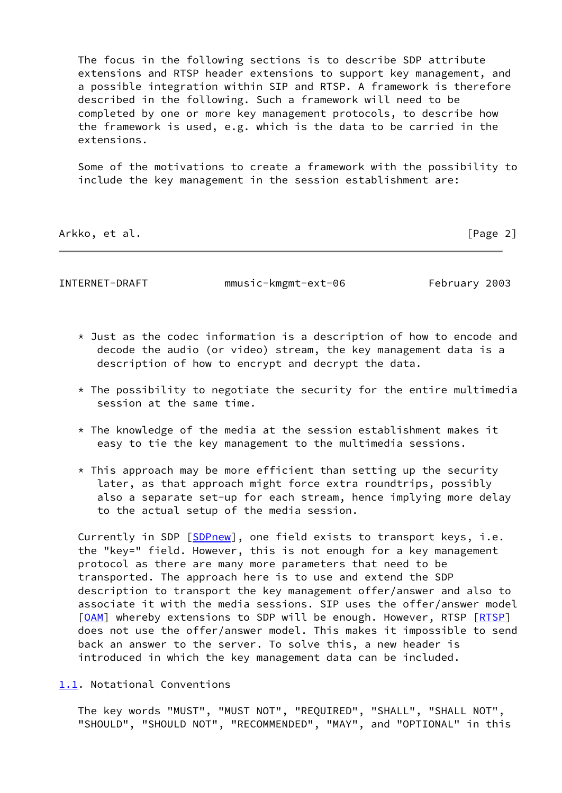The focus in the following sections is to describe SDP attribute extensions and RTSP header extensions to support key management, and a possible integration within SIP and RTSP. A framework is therefore described in the following. Such a framework will need to be completed by one or more key management protocols, to describe how the framework is used, e.g. which is the data to be carried in the extensions.

 Some of the motivations to create a framework with the possibility to include the key management in the session establishment are:

Arkko, et al. [Page 2]

<span id="page-2-1"></span>INTERNET-DRAFT mmusic-kmgmt-ext-06 February 2003

- \* Just as the codec information is a description of how to encode and decode the audio (or video) stream, the key management data is a description of how to encrypt and decrypt the data.
- $*$  The possibility to negotiate the security for the entire multimedia session at the same time.
- $*$  The knowledge of the media at the session establishment makes it easy to tie the key management to the multimedia sessions.
- $*$  This approach may be more efficient than setting up the security later, as that approach might force extra roundtrips, possibly also a separate set-up for each stream, hence implying more delay to the actual setup of the media session.

Currently in SDP [\[SDPnew](#page-13-6)], one field exists to transport keys, i.e. the "key=" field. However, this is not enough for a key management protocol as there are many more parameters that need to be transported. The approach here is to use and extend the SDP description to transport the key management offer/answer and also to associate it with the media sessions. SIP uses the offer/answer model [\[OAM](#page-13-7)] whereby extensions to SDP will be enough. However, RTSP [[RTSP\]](#page-13-5) does not use the offer/answer model. This makes it impossible to send back an answer to the server. To solve this, a new header is introduced in which the key management data can be included.

<span id="page-2-0"></span>[1.1](#page-2-0). Notational Conventions

 The key words "MUST", "MUST NOT", "REQUIRED", "SHALL", "SHALL NOT", "SHOULD", "SHOULD NOT", "RECOMMENDED", "MAY", and "OPTIONAL" in this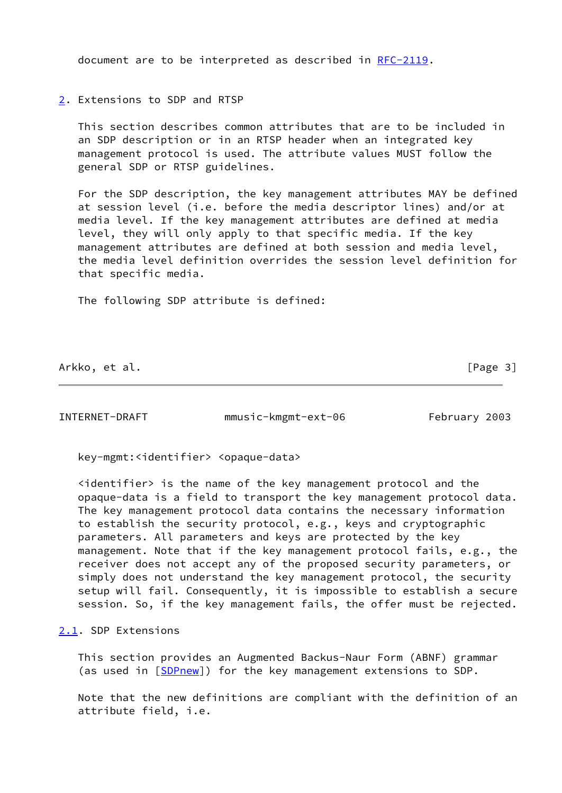document are to be interpreted as described in [RFC-2119.](https://datatracker.ietf.org/doc/pdf/rfc2119)

<span id="page-3-0"></span>[2](#page-3-0). Extensions to SDP and RTSP

 This section describes common attributes that are to be included in an SDP description or in an RTSP header when an integrated key management protocol is used. The attribute values MUST follow the general SDP or RTSP guidelines.

 For the SDP description, the key management attributes MAY be defined at session level (i.e. before the media descriptor lines) and/or at media level. If the key management attributes are defined at media level, they will only apply to that specific media. If the key management attributes are defined at both session and media level, the media level definition overrides the session level definition for that specific media.

The following SDP attribute is defined:

Arkko, et al. [Page 3]

<span id="page-3-2"></span>INTERNET-DRAFT mmusic-kmgmt-ext-06 February 2003

key-mgmt:<identifier> <opaque-data>

 <identifier> is the name of the key management protocol and the opaque-data is a field to transport the key management protocol data. The key management protocol data contains the necessary information to establish the security protocol, e.g., keys and cryptographic parameters. All parameters and keys are protected by the key management. Note that if the key management protocol fails, e.g., the receiver does not accept any of the proposed security parameters, or simply does not understand the key management protocol, the security setup will fail. Consequently, it is impossible to establish a secure session. So, if the key management fails, the offer must be rejected.

## <span id="page-3-1"></span>[2.1](#page-3-1). SDP Extensions

 This section provides an Augmented Backus-Naur Form (ABNF) grammar (as used in [\[SDPnew](#page-13-6)]) for the key management extensions to SDP.

 Note that the new definitions are compliant with the definition of an attribute field, i.e.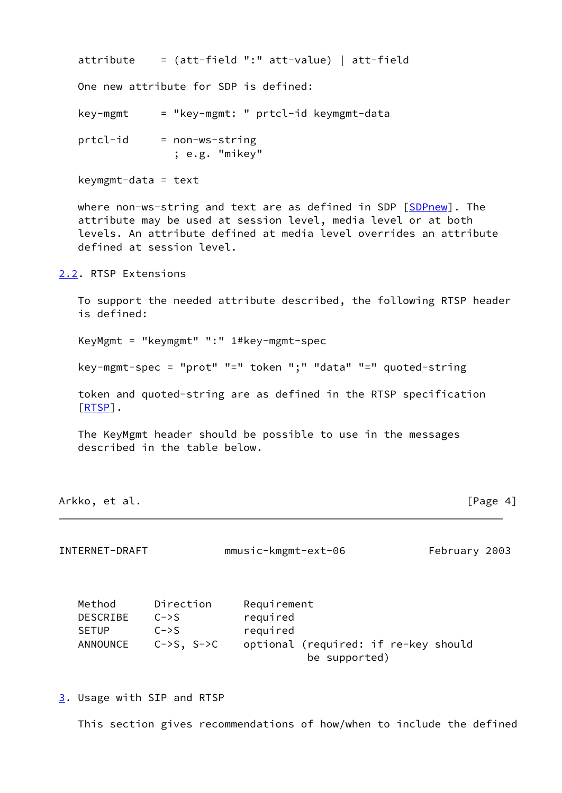| One new attribute for SDP is defined:<br>= "key-mgmt: " prtcl-id keymgmt-data<br>key-mgmt<br>prtcl-id<br>= non-ws-string<br>; e.g. "mikey"<br>$keymgmt-data = text$ | $attribute = (att-field ":" att-value)   att-field$ |
|---------------------------------------------------------------------------------------------------------------------------------------------------------------------|-----------------------------------------------------|
|                                                                                                                                                                     |                                                     |
|                                                                                                                                                                     |                                                     |
|                                                                                                                                                                     |                                                     |
|                                                                                                                                                                     |                                                     |

where non-ws-string and text are as defined in SDP [[SDPnew](#page-13-6)]. The attribute may be used at session level, media level or at both levels. An attribute defined at media level overrides an attribute defined at session level.

<span id="page-4-0"></span>[2.2](#page-4-0). RTSP Extensions

 To support the needed attribute described, the following RTSP header is defined:

KeyMgmt = "keymgmt" ":" 1#key-mgmt-spec

key-mgmt-spec = "prot" "=" token ";" "data" "=" quoted-string

 token and quoted-string are as defined in the RTSP specification [\[RTSP](#page-13-5)].

 The KeyMgmt header should be possible to use in the messages described in the table below.

Arkko, et al. [Page 4]

<span id="page-4-2"></span>INTERNET-DRAFT mmusic-kmgmt-ext-06 February 2003

| Method       | Direction         | Requirement                          |  |  |
|--------------|-------------------|--------------------------------------|--|--|
| DESCRIBE     | $C \rightarrow S$ | required                             |  |  |
| <b>SETUP</b> | $C \rightarrow S$ | required                             |  |  |
| ANNOUNCE     | $C->S$ , $S->C$   | optional (required: if re-key should |  |  |
|              |                   | be supported)                        |  |  |

<span id="page-4-1"></span>[3](#page-4-1). Usage with SIP and RTSP

This section gives recommendations of how/when to include the defined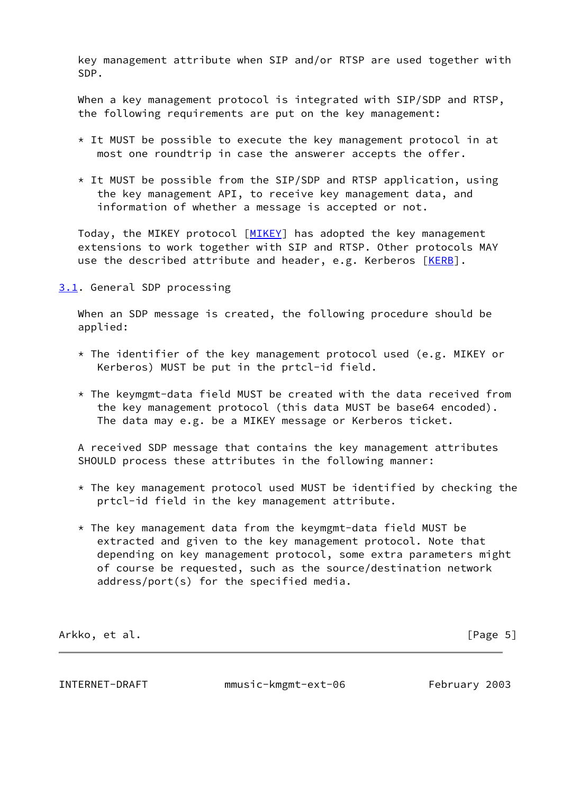key management attribute when SIP and/or RTSP are used together with SDP.

 When a key management protocol is integrated with SIP/SDP and RTSP, the following requirements are put on the key management:

- \* It MUST be possible to execute the key management protocol in at most one roundtrip in case the answerer accepts the offer.
- $*$  It MUST be possible from the SIP/SDP and RTSP application, using the key management API, to receive key management data, and information of whether a message is accepted or not.

Today, the MIKEY protocol [[MIKEY\]](#page-13-8) has adopted the key management extensions to work together with SIP and RTSP. Other protocols MAY use the described attribute and header, e.g. Kerberos [[KERB\]](#page-13-9).

<span id="page-5-0"></span>[3.1](#page-5-0). General SDP processing

 When an SDP message is created, the following procedure should be applied:

- $*$  The identifier of the key management protocol used (e.g. MIKEY or Kerberos) MUST be put in the prtcl-id field.
- $*$  The keymgmt-data field MUST be created with the data received from the key management protocol (this data MUST be base64 encoded). The data may e.g. be a MIKEY message or Kerberos ticket.

 A received SDP message that contains the key management attributes SHOULD process these attributes in the following manner:

- \* The key management protocol used MUST be identified by checking the prtcl-id field in the key management attribute.
- \* The key management data from the keymgmt-data field MUST be extracted and given to the key management protocol. Note that depending on key management protocol, some extra parameters might of course be requested, such as the source/destination network address/port(s) for the specified media.

Arkko, et al. [Page 5]

<span id="page-5-1"></span>

INTERNET-DRAFT mmusic-kmgmt-ext-06 February 2003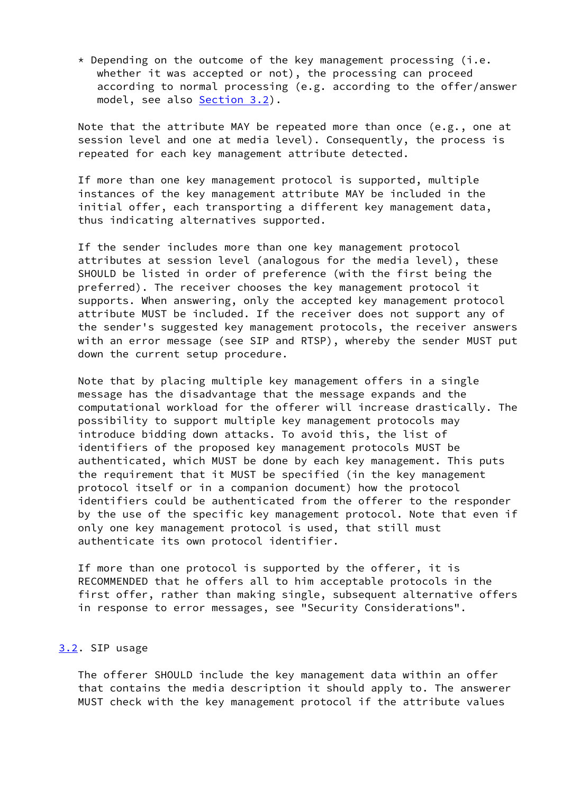$*$  Depending on the outcome of the key management processing (i.e. whether it was accepted or not), the processing can proceed according to normal processing (e.g. according to the offer/answer model, see also [Section 3.2](#page-6-0)).

 Note that the attribute MAY be repeated more than once (e.g., one at session level and one at media level). Consequently, the process is repeated for each key management attribute detected.

 If more than one key management protocol is supported, multiple instances of the key management attribute MAY be included in the initial offer, each transporting a different key management data, thus indicating alternatives supported.

 If the sender includes more than one key management protocol attributes at session level (analogous for the media level), these SHOULD be listed in order of preference (with the first being the preferred). The receiver chooses the key management protocol it supports. When answering, only the accepted key management protocol attribute MUST be included. If the receiver does not support any of the sender's suggested key management protocols, the receiver answers with an error message (see SIP and RTSP), whereby the sender MUST put down the current setup procedure.

 Note that by placing multiple key management offers in a single message has the disadvantage that the message expands and the computational workload for the offerer will increase drastically. The possibility to support multiple key management protocols may introduce bidding down attacks. To avoid this, the list of identifiers of the proposed key management protocols MUST be authenticated, which MUST be done by each key management. This puts the requirement that it MUST be specified (in the key management protocol itself or in a companion document) how the protocol identifiers could be authenticated from the offerer to the responder by the use of the specific key management protocol. Note that even if only one key management protocol is used, that still must authenticate its own protocol identifier.

 If more than one protocol is supported by the offerer, it is RECOMMENDED that he offers all to him acceptable protocols in the first offer, rather than making single, subsequent alternative offers in response to error messages, see "Security Considerations".

# <span id="page-6-0"></span>[3.2](#page-6-0). SIP usage

 The offerer SHOULD include the key management data within an offer that contains the media description it should apply to. The answerer MUST check with the key management protocol if the attribute values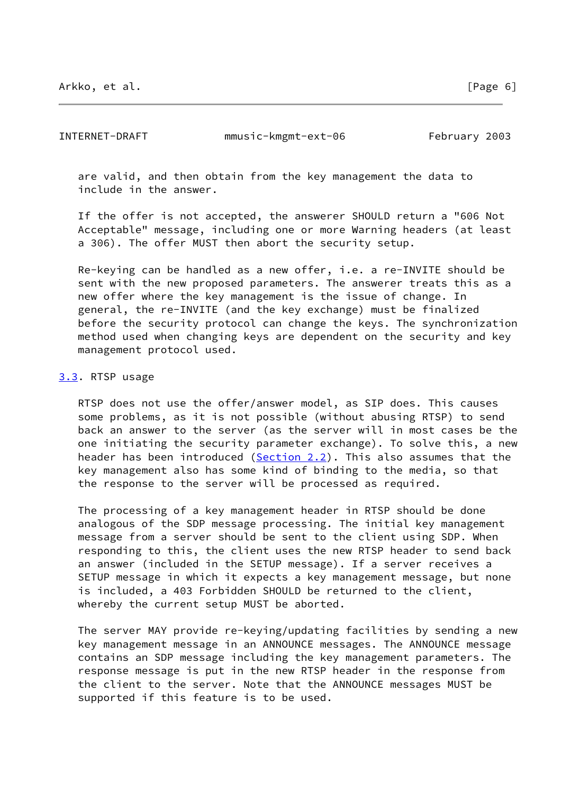<span id="page-7-1"></span>INTERNET-DRAFT mmusic-kmgmt-ext-06 February 2003

 are valid, and then obtain from the key management the data to include in the answer.

 If the offer is not accepted, the answerer SHOULD return a "606 Not Acceptable" message, including one or more Warning headers (at least a 306). The offer MUST then abort the security setup.

 Re-keying can be handled as a new offer, i.e. a re-INVITE should be sent with the new proposed parameters. The answerer treats this as a new offer where the key management is the issue of change. In general, the re-INVITE (and the key exchange) must be finalized before the security protocol can change the keys. The synchronization method used when changing keys are dependent on the security and key management protocol used.

### <span id="page-7-0"></span>[3.3](#page-7-0). RTSP usage

 RTSP does not use the offer/answer model, as SIP does. This causes some problems, as it is not possible (without abusing RTSP) to send back an answer to the server (as the server will in most cases be the one initiating the security parameter exchange). To solve this, a new header has been introduced ([Section 2.2\)](#page-4-0). This also assumes that the key management also has some kind of binding to the media, so that the response to the server will be processed as required.

 The processing of a key management header in RTSP should be done analogous of the SDP message processing. The initial key management message from a server should be sent to the client using SDP. When responding to this, the client uses the new RTSP header to send back an answer (included in the SETUP message). If a server receives a SETUP message in which it expects a key management message, but none is included, a 403 Forbidden SHOULD be returned to the client, whereby the current setup MUST be aborted.

 The server MAY provide re-keying/updating facilities by sending a new key management message in an ANNOUNCE messages. The ANNOUNCE message contains an SDP message including the key management parameters. The response message is put in the new RTSP header in the response from the client to the server. Note that the ANNOUNCE messages MUST be supported if this feature is to be used.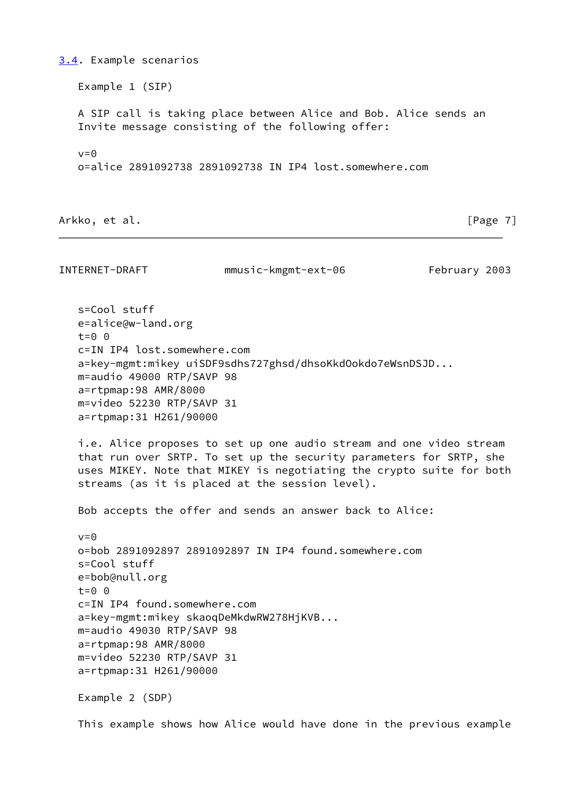Example 1 (SIP) A SIP call is taking place between Alice and Bob. Alice sends an Invite message consisting of the following offer:  $v=0$ o=alice 2891092738 2891092738 IN IP4 lost.somewhere.com

Arkko, et al. [Page 7]

<span id="page-8-0"></span>[3.4](#page-8-0). Example scenarios

INTERNET-DRAFT mmusic-kmgmt-ext-06 February 2003

 s=Cool stuff e=alice@w-land.org  $t=0$   $\theta$  c=IN IP4 lost.somewhere.com a=key-mgmt:mikey uiSDF9sdhs727ghsd/dhsoKkdOokdo7eWsnDSJD... m=audio 49000 RTP/SAVP 98 a=rtpmap:98 AMR/8000 m=video 52230 RTP/SAVP 31 a=rtpmap:31 H261/90000

 i.e. Alice proposes to set up one audio stream and one video stream that run over SRTP. To set up the security parameters for SRTP, she uses MIKEY. Note that MIKEY is negotiating the crypto suite for both streams (as it is placed at the session level).

Bob accepts the offer and sends an answer back to Alice:

 $v = \Theta$  o=bob 2891092897 2891092897 IN IP4 found.somewhere.com s=Cool stuff e=bob@null.org t=0 0 c=IN IP4 found.somewhere.com a=key-mgmt:mikey skaoqDeMkdwRW278HjKVB... m=audio 49030 RTP/SAVP 98 a=rtpmap:98 AMR/8000 m=video 52230 RTP/SAVP 31 a=rtpmap:31 H261/90000

Example 2 (SDP)

This example shows how Alice would have done in the previous example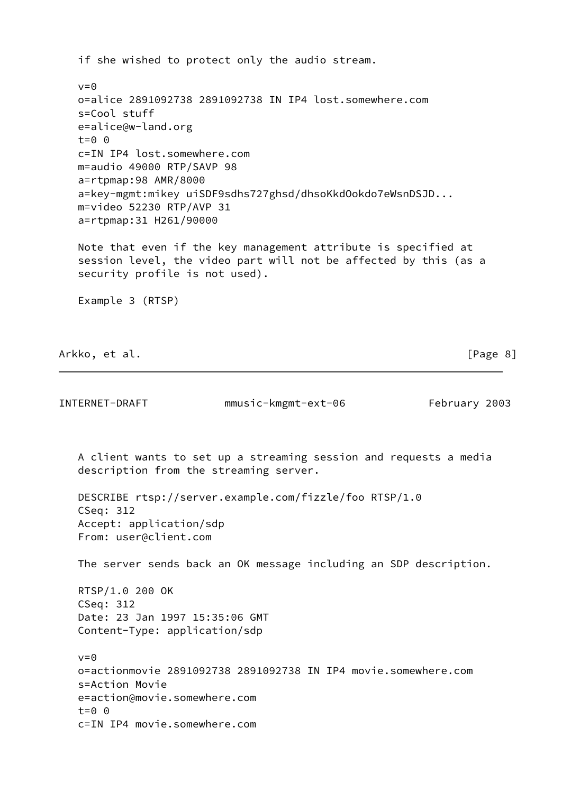if she wished to protect only the audio stream.  $v=0$  o=alice 2891092738 2891092738 IN IP4 lost.somewhere.com s=Cool stuff e=alice@w-land.org  $t=0$   $\Theta$  c=IN IP4 lost.somewhere.com m=audio 49000 RTP/SAVP 98 a=rtpmap:98 AMR/8000 a=key-mgmt:mikey uiSDF9sdhs727ghsd/dhsoKkdOokdo7eWsnDSJD... m=video 52230 RTP/AVP 31 a=rtpmap:31 H261/90000 Note that even if the key management attribute is specified at session level, the video part will not be affected by this (as a security profile is not used). Example 3 (RTSP) Arkko, et al. [Page 8] INTERNET-DRAFT mmusic-kmgmt-ext-06 February 2003 A client wants to set up a streaming session and requests a media description from the streaming server. DESCRIBE rtsp://server.example.com/fizzle/foo RTSP/1.0 CSeq: 312 Accept: application/sdp From: user@client.com The server sends back an OK message including an SDP description. RTSP/1.0 200 OK CSeq: 312 Date: 23 Jan 1997 15:35:06 GMT Content-Type: application/sdp  $v=0$  o=actionmovie 2891092738 2891092738 IN IP4 movie.somewhere.com s=Action Movie e=action@movie.somewhere.com  $t=0$   $\theta$ c=IN IP4 movie.somewhere.com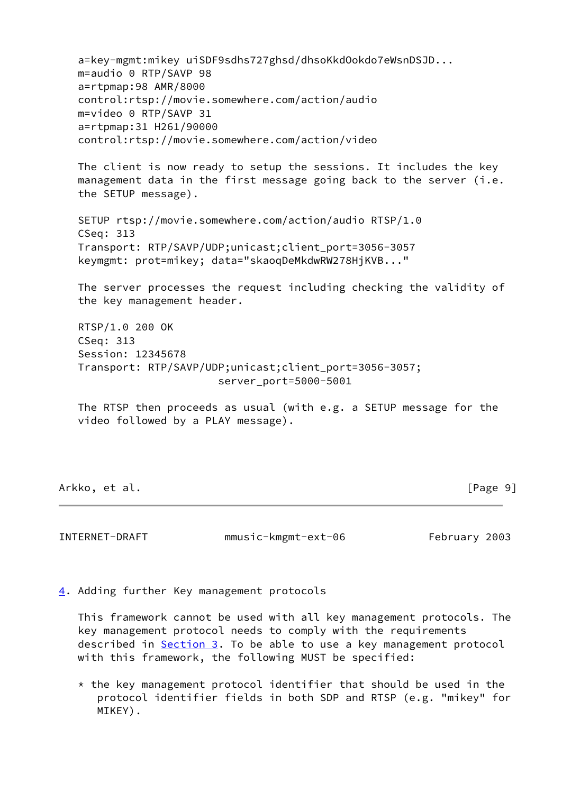a=key-mgmt:mikey uiSDF9sdhs727ghsd/dhsoKkdOokdo7eWsnDSJD... m=audio 0 RTP/SAVP 98 a=rtpmap:98 AMR/8000 control:rtsp://movie.somewhere.com/action/audio m=video 0 RTP/SAVP 31 a=rtpmap:31 H261/90000 control:rtsp://movie.somewhere.com/action/video

 The client is now ready to setup the sessions. It includes the key management data in the first message going back to the server (i.e. the SETUP message).

 SETUP rtsp://movie.somewhere.com/action/audio RTSP/1.0 CSeq: 313 Transport: RTP/SAVP/UDP;unicast;client\_port=3056-3057 keymgmt: prot=mikey; data="skaoqDeMkdwRW278HjKVB..."

 The server processes the request including checking the validity of the key management header.

 RTSP/1.0 200 OK CSeq: 313 Session: 12345678 Transport: RTP/SAVP/UDP;unicast;client\_port=3056-3057; server\_port=5000-5001

 The RTSP then proceeds as usual (with e.g. a SETUP message for the video followed by a PLAY message).

Arkko, et al. [Page 9]

<span id="page-10-1"></span>INTERNET-DRAFT mmusic-kmgmt-ext-06 February 2003

<span id="page-10-0"></span>[4](#page-10-0). Adding further Key management protocols

 This framework cannot be used with all key management protocols. The key management protocol needs to comply with the requirements described in [Section 3](#page-4-1). To be able to use a key management protocol with this framework, the following MUST be specified:

 $*$  the key management protocol identifier that should be used in the protocol identifier fields in both SDP and RTSP (e.g. "mikey" for MIKEY).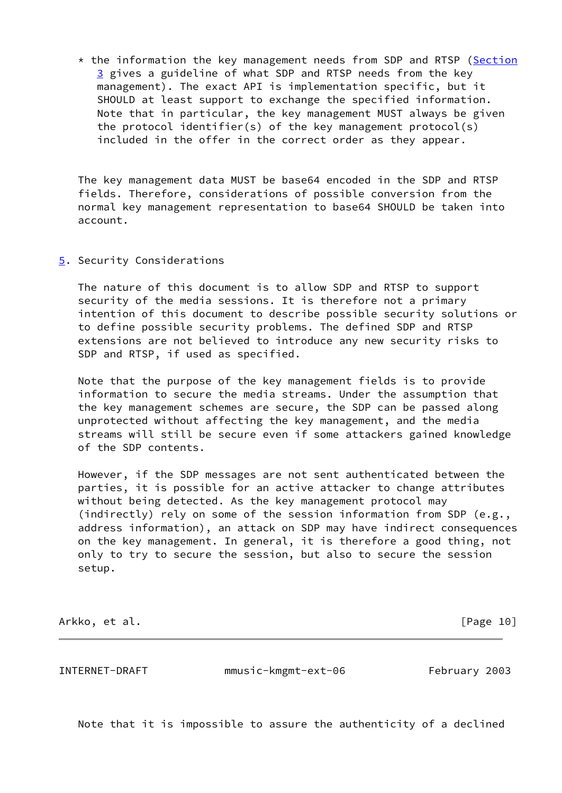$*$  the information the key management needs from SDP and RTSP [\(Section](#page-4-1) [3](#page-4-1) gives a guideline of what SDP and RTSP needs from the key management). The exact API is implementation specific, but it SHOULD at least support to exchange the specified information. Note that in particular, the key management MUST always be given the protocol identifier(s) of the key management protocol(s) included in the offer in the correct order as they appear.

 The key management data MUST be base64 encoded in the SDP and RTSP fields. Therefore, considerations of possible conversion from the normal key management representation to base64 SHOULD be taken into account.

<span id="page-11-0"></span>[5](#page-11-0). Security Considerations

 The nature of this document is to allow SDP and RTSP to support security of the media sessions. It is therefore not a primary intention of this document to describe possible security solutions or to define possible security problems. The defined SDP and RTSP extensions are not believed to introduce any new security risks to SDP and RTSP, if used as specified.

 Note that the purpose of the key management fields is to provide information to secure the media streams. Under the assumption that the key management schemes are secure, the SDP can be passed along unprotected without affecting the key management, and the media streams will still be secure even if some attackers gained knowledge of the SDP contents.

 However, if the SDP messages are not sent authenticated between the parties, it is possible for an active attacker to change attributes without being detected. As the key management protocol may (indirectly) rely on some of the session information from SDP (e.g., address information), an attack on SDP may have indirect consequences on the key management. In general, it is therefore a good thing, not only to try to secure the session, but also to secure the session setup.

Arkko, et al. [Page 10]

<span id="page-11-1"></span>INTERNET-DRAFT mmusic-kmgmt-ext-06 February 2003

Note that it is impossible to assure the authenticity of a declined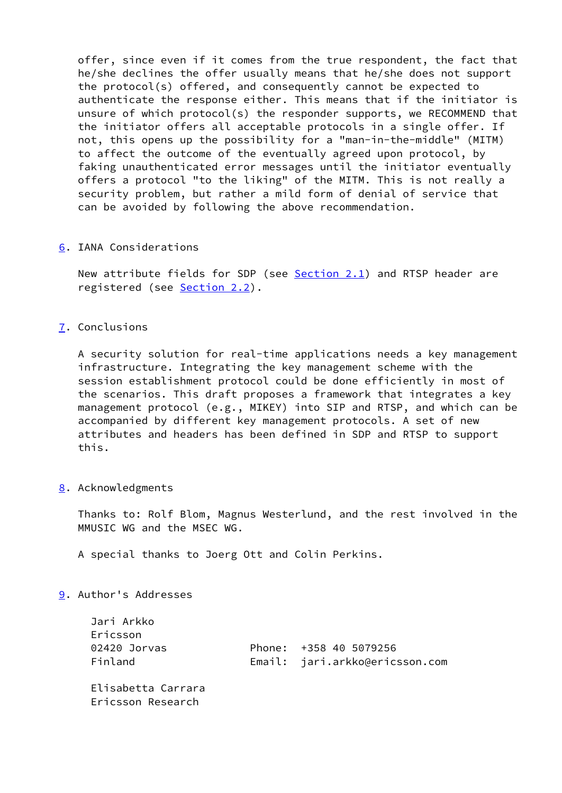offer, since even if it comes from the true respondent, the fact that he/she declines the offer usually means that he/she does not support the protocol(s) offered, and consequently cannot be expected to authenticate the response either. This means that if the initiator is unsure of which protocol(s) the responder supports, we RECOMMEND that the initiator offers all acceptable protocols in a single offer. If not, this opens up the possibility for a "man-in-the-middle" (MITM) to affect the outcome of the eventually agreed upon protocol, by faking unauthenticated error messages until the initiator eventually offers a protocol "to the liking" of the MITM. This is not really a security problem, but rather a mild form of denial of service that can be avoided by following the above recommendation.

# <span id="page-12-0"></span>[6](#page-12-0). IANA Considerations

New attribute fields for SDP (see **Section 2.1**) and RTSP header are registered (see [Section 2.2](#page-4-0)).

# <span id="page-12-1"></span>[7](#page-12-1). Conclusions

 A security solution for real-time applications needs a key management infrastructure. Integrating the key management scheme with the session establishment protocol could be done efficiently in most of the scenarios. This draft proposes a framework that integrates a key management protocol (e.g., MIKEY) into SIP and RTSP, and which can be accompanied by different key management protocols. A set of new attributes and headers has been defined in SDP and RTSP to support this.

## <span id="page-12-2"></span>[8](#page-12-2). Acknowledgments

 Thanks to: Rolf Blom, Magnus Westerlund, and the rest involved in the MMUSIC WG and the MSEC WG.

A special thanks to Joerg Ott and Colin Perkins.

# <span id="page-12-3"></span>[9](#page-12-3). Author's Addresses

| Jari Arkko<br>Ericsson<br>02420 Jorvas<br>Finland | Phone: +358 40 5079256<br>Email: jari.arkko@ericsson.com |
|---------------------------------------------------|----------------------------------------------------------|
| Elisabetta Carrara<br>Ericsson Research           |                                                          |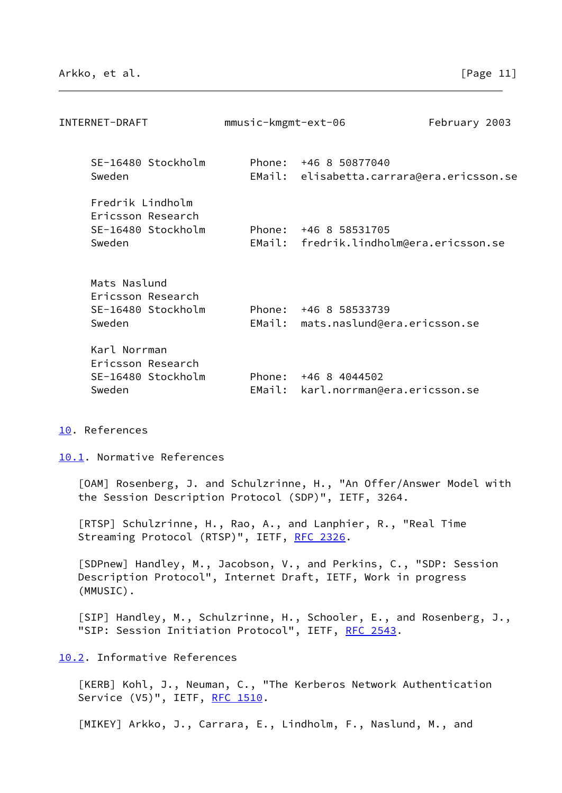<span id="page-13-1"></span>

| INTERNET-DRAFT                                                        | mmusic-kmgmt-ext-06 |                                                      | February 2003 |
|-----------------------------------------------------------------------|---------------------|------------------------------------------------------|---------------|
| SE-16480 Stockholm<br>Sweden                                          | Phone:<br>EMail:    | +46 8 50877040<br>elisabetta.carrara@era.ericsson.se |               |
| Fredrik Lindholm<br>Ericsson Research<br>SE-16480 Stockholm<br>Sweden | Phone:<br>EMail:    | +46 8 58531705<br>fredrik.lindholm@era.ericsson.se   |               |
| Mats Naslund<br>Ericsson Research<br>SE-16480 Stockholm<br>Sweden     | Phone:<br>EMail:    | +46 8 58533739<br>mats.naslund@era.ericsson.se       |               |
| Karl Norrman<br>Ericsson Research<br>SE-16480 Stockholm<br>Sweden     | Phone:<br>EMail:    | +46 8 4044502<br>karl.norrman@era.ericsson.se        |               |

<span id="page-13-0"></span>[10.](#page-13-0) References

<span id="page-13-2"></span>[10.1](#page-13-2). Normative References

<span id="page-13-7"></span> [OAM] Rosenberg, J. and Schulzrinne, H., "An Offer/Answer Model with the Session Description Protocol (SDP)", IETF, 3264.

<span id="page-13-5"></span> [RTSP] Schulzrinne, H., Rao, A., and Lanphier, R., "Real Time Streaming Protocol (RTSP)", IETF, [RFC 2326](https://datatracker.ietf.org/doc/pdf/rfc2326).

<span id="page-13-6"></span> [SDPnew] Handley, M., Jacobson, V., and Perkins, C., "SDP: Session Description Protocol", Internet Draft, IETF, Work in progress (MMUSIC).

<span id="page-13-4"></span> [SIP] Handley, M., Schulzrinne, H., Schooler, E., and Rosenberg, J., "SIP: Session Initiation Protocol", IETF, [RFC 2543](https://datatracker.ietf.org/doc/pdf/rfc2543).

<span id="page-13-3"></span>[10.2](#page-13-3). Informative References

<span id="page-13-9"></span> [KERB] Kohl, J., Neuman, C., "The Kerberos Network Authentication Service (V5)", IETF, [RFC 1510](https://datatracker.ietf.org/doc/pdf/rfc1510).

<span id="page-13-8"></span>[MIKEY] Arkko, J., Carrara, E., Lindholm, F., Naslund, M., and